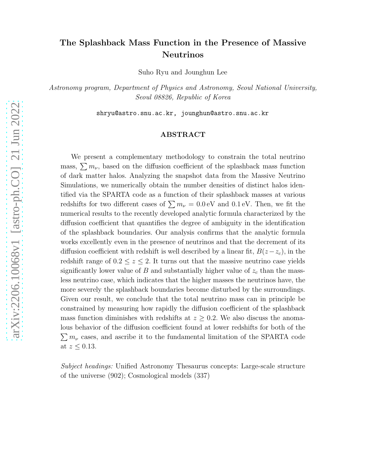# The Splashback Mass Function in the Presence of Massive Neutrinos

Suho Ryu and Jounghun Lee

Astronomy program, Department of Physics and Astronomy, Seoul National University, Seoul 08826, Republic of Korea

shryu@astro.snu.ac.kr, jounghun@astro.snu.ac.kr

## ABSTRACT

We present a complementary methodology to constrain the total neutrino mass,  $\sum m_{\nu}$ , based on the diffusion coefficient of the splashback mass function of dark matter halos. Analyzing the snapshot data from the Massive Neutrino Simulations, we numerically obtain the number densities of distinct halos identified via the SPARTA code as a function of their splashback masses at various redshifts for two different cases of  $\sum m_{\nu} = 0.0 \,\text{eV}$  and  $0.1 \,\text{eV}$ . Then, we fit the numerical results to the recently developed analytic formula characterized by the diffusion coefficient that quantifies the degree of ambiguity in the identification of the splashback boundaries. Our analysis confirms that the analytic formula works excellently even in the presence of neutrinos and that the decrement of its diffusion coefficient with redshift is well described by a linear fit,  $B(z-z_c)$ , in the redshift range of  $0.2 \le z \le 2$ . It turns out that the massive neutrino case yields significantly lower value of B and substantially higher value of  $z_c$  than the massless neutrino case, which indicates that the higher masses the neutrinos have, the more severely the splashback boundaries become disturbed by the surroundings. Given our result, we conclude that the total neutrino mass can in principle be constrained by measuring how rapidly the diffusion coefficient of the splashback mass function diminishes with redshifts at  $z \geq 0.2$ . We also discuss the anomalous behavior of the diffusion coefficient found at lower redshifts for both of the  $\sum m_{\nu}$  cases, and ascribe it to the fundamental limitation of the SPARTA code at  $z \leq 0.13$ .

Subject headings: Unified Astronomy Thesaurus concepts: Large-scale structure of the universe (902); Cosmological models (337)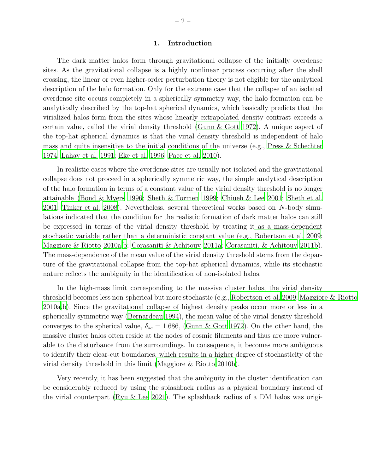### 1. Introduction

The dark matter halos form through gravitational collapse of the initially overdense sites. As the gravitational collapse is a highly nonlinear process occurring after the shell crossing, the linear or even higher-order perturbation theory is not eligible for the analytical description of the halo formation. Only for the extreme case that the collapse of an isolated overdense site occurs completely in a spherically symmetry way, the halo formation can be analytically described by the top-hat spherical dynamics, which basically predicts that the virialized halos form from the sites whose linearly extrapolated density contrast exceeds a certain value, called the virial density threshold [\(Gunn & Gott 1972\)](#page-11-0). A unique aspect of the top-hat spherical dynamics is that the virial density threshold is independent of halo mass and quite insensitive to the initial conditions of the universe (e.g., [Press & Schechter](#page-11-1) [1974;](#page-11-1) [Lahav et al. 1991](#page-11-2); [Eke et al. 1996;](#page-10-0) [Pace et al. 2010\)](#page-11-3).

In realistic cases where the overdense sites are usually not isolated and the gravitational collapse does not proceed in a spherically symmetric way, the simple analytical description of the halo formation in terms of a constant value of the virial density threshold is no longer attainable [\(Bond & Myers 1996](#page-10-1); [Sheth & Tormen 1999](#page-11-4); [Chiueh & Lee 2001;](#page-10-2) [Sheth et al.](#page-11-5) [2001;](#page-11-5) [Tinker et al. 2008](#page-12-0)). Nevertheless, several theoretical works based on N-body simulations indicated that the condition for the realistic formation of dark matter halos can still be expressed in terms of the virial density threshold by treating it as a mass-dependent stochastic variable rather than a deterministic constant value (e.g., [Robertson et al. 2009;](#page-11-6) [Maggiore & Riotto 2010a](#page-11-7)[,b](#page-11-8); [Corasaniti & Achitouv 2011a](#page-10-3); [Corasaniti, & Achitouv 2011b](#page-10-4)). The mass-dependence of the mean value of the virial density threshold stems from the departure of the gravitational collapse from the top-hat spherical dynamics, while its stochastic nature reflects the ambiguity in the identification of non-isolated halos.

In the high-mass limit corresponding to the massive cluster halos, the virial density threshold becomes less non-spherical but more stochastic (e.g., [Robertson et al. 2009](#page-11-6); [Maggiore & Riotto](#page-11-7) [2010a](#page-11-7)[,b\)](#page-11-8). Since the gravitational collapse of highest density peaks occur more or less in a spherically symmetric way [\(Bernardeau 1994\)](#page-10-5), the mean value of the virial density threshold converges to the spherical value,  $\delta_{sc} = 1.686$ , [\(Gunn & Gott 1972](#page-11-0)). On the other hand, the massive cluster halos often reside at the nodes of cosmic filaments and thus are more vulnerable to the disturbance from the surroundings. In consequence, it becomes more ambiguous to identify their clear-cut boundaries, which results in a higher degree of stochasticity of the virial density threshold in this limit [\(Maggiore & Riotto 2010b\)](#page-11-8).

Very recently, it has been suggested that the ambiguity in the cluster identification can be considerably reduced by using the splashback radius as a physical boundary instead of the virial counterpart [\(Ryu & Lee 2021](#page-11-9)). The splashback radius of a DM halos was origi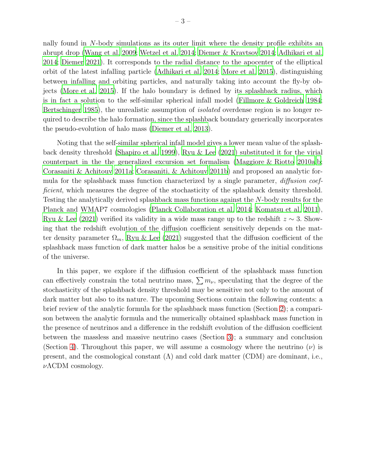nally found in N-body simulations as its outer limit where the density profile exhibits an abrupt drop [\(Wang et al. 2009;](#page-12-1) [Wetzel et al. 2014;](#page-12-2) [Diemer & Kravtsov 2014](#page-10-6); [Adhikari et al.](#page-10-7) [2014;](#page-10-7) [Diemer 2021\)](#page-10-8). It corresponds to the radial distance to the apocenter of the elliptical orbit of the latest infalling particle [\(Adhikari et al. 2014;](#page-10-7) [More et al. 2015\)](#page-11-10), distinguishing between infalling and orbiting particles, and naturally taking into account the fly-by objects [\(More et al. 2015](#page-11-10)). If the halo boundary is defined by its splashback radius, which is in fact a solution to the self-similar spherical infall model [\(Fillmore & Goldreich 1984;](#page-10-9) [Bertschinger 1985\)](#page-10-10), the unrealistic assumption of *isolated* overdense region is no longer required to describe the halo formation, since the splashback boundary generically incorporates the pseudo-evolution of halo mass [\(Diemer et al. 2013](#page-10-11)).

Noting that the self-similar spherical infall model gives a lower mean value of the splashback density threshold [\(Shapiro et al. 1999\)](#page-11-11), [Ryu & Lee \(2021](#page-11-9)) substituted it for the virial counterpart in the the generalized excursion set formalism [\(Maggiore & Riotto 2010a](#page-11-7)[,b;](#page-11-8) [Corasaniti & Achitouv 2011a](#page-10-3); [Corasaniti, & Achitouv 2011b](#page-10-4)) and proposed an analytic formula for the splashback mass function characterized by a single parameter, *diffusion coef*ficient, which measures the degree of the stochasticity of the splashback density threshold. Testing the analytically derived splashback mass functions against the N-body results for the Planck and WMAP7 cosmologies [\(Planck Collaboration et al. 2014](#page-11-12); [Komatsu et al. 2011](#page-11-13)), [Ryu & Lee \(2021\)](#page-11-9) verified its validity in a wide mass range up to the redshift  $z \sim 3$ . Showing that the redshift evolution of the diffusion coefficient sensitively depends on the matter density parameter  $\Omega_m$ , [Ryu & Lee \(2021\)](#page-11-9) suggested that the diffusion coefficient of the splashback mass function of dark matter halos be a sensitive probe of the initial conditions of the universe.

In this paper, we explore if the diffusion coefficient of the splashback mass function can effectively constrain the total neutrino mass,  $\sum m_{\nu}$ , speculating that the degree of the stochasticity of the splashback density threshold may be sensitive not only to the amount of dark matter but also to its nature. The upcoming Sections contain the following contents: a brief review of the analytic formula for the splashback mass function (Section [2\)](#page-3-0); a comparison between the analytic formula and the numerically obtained splashback mass function in the presence of neutrinos and a difference in the redshift evolution of the diffusion coefficient between the massless and massive neutrino cases (Section [3\)](#page-5-0); a summary and conclusion (Section [4\)](#page-7-0). Throughout this paper, we will assume a cosmology where the neutrino  $(\nu)$  is present, and the cosmological constant  $(\Lambda)$  and cold dark matter (CDM) are dominant, i.e.,  $ν$ ΛCDM cosmology.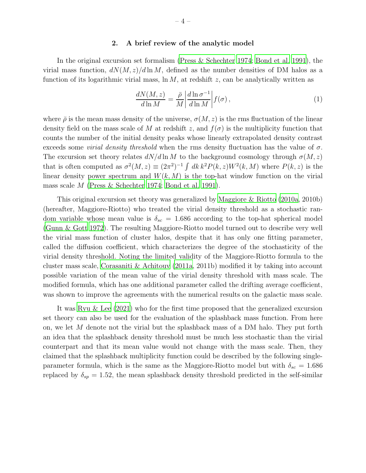## 2. A brief review of the analytic model

<span id="page-3-0"></span>In the original excursion set formalism [\(Press & Schechter 1974;](#page-11-1) [Bond et al. 1991](#page-10-12)), the virial mass function,  $dN(M, z)/d \ln M$ , defined as the number densities of DM halos as a function of its logarithmic virial mass,  $\ln M$ , at redshift z, can be analytically written as

<span id="page-3-1"></span>
$$
\frac{dN(M,z)}{d\ln M} = \frac{\bar{\rho}}{M} \left| \frac{d\ln \sigma^{-1}}{d\ln M} \right| f(\sigma),\tag{1}
$$

where  $\bar{\rho}$  is the mean mass density of the universe,  $\sigma(M, z)$  is the rms fluctuation of the linear density field on the mass scale of M at redshift z, and  $f(\sigma)$  is the multiplicity function that counts the number of the initial density peaks whose linearly extrapolated density contrast exceeds some *virial density threshold* when the rms density fluctuation has the value of  $\sigma$ . The excursion set theory relates  $dN/d\ln M$  to the background cosmology through  $\sigma(M, z)$ that is often computed as  $\sigma^2(M, z) \equiv (2\pi^2)^{-1} \int dk \, k^2 P(k, z) W^2(k, M)$  where  $P(k, z)$  is the linear density power spectrum and  $W(k, M)$  is the top-hat window function on the virial mass scale M [\(Press & Schechter 1974;](#page-11-1) [Bond et al. 1991\)](#page-10-12).

This original excursion set theory was generalized by [Maggiore & Riotto \(2010a](#page-11-7), 2010b) (hereafter, Maggiore-Riotto) who treated the virial density threshold as a stochastic random variable whose mean value is  $\delta_{sc} = 1.686$  according to the top-hat spherical model [\(Gunn & Gott 1972](#page-11-0)). The resulting Maggiore-Riotto model turned out to describe very well the virial mass function of cluster halos, despite that it has only one fitting parameter, called the diffusion coefficient, which characterizes the degree of the stochasticity of the virial density threshold. Noting the limited validity of the Maggiore-Riotto formula to the cluster mass scale, [Corasaniti & Achitouv \(2011a](#page-10-3), 2011b) modified it by taking into account possible variation of the mean value of the virial density threshold with mass scale. The modified formula, which has one additional parameter called the drifting average coefficient, was shown to improve the agreements with the numerical results on the galactic mass scale.

It was [Ryu & Lee \(2021\)](#page-11-9) who for the first time proposed that the generalized excursion set theory can also be used for the evaluation of the splashback mass function. From here on, we let  $M$  denote not the virial but the splashback mass of a DM halo. They put forth an idea that the splashback density threshold must be much less stochastic than the virial counterpart and that its mean value would not change with the mass scale. Then, they claimed that the splashback multiplicity function could be described by the following singleparameter formula, which is the same as the Maggiore-Riotto model but with  $\delta_{sc} = 1.686$ replaced by  $\delta_{sp} = 1.52$ , the mean splashback density threshold predicted in the self-similar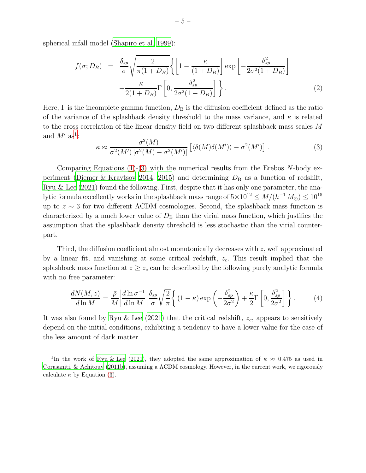spherical infall model [\(Shapiro et al. 1999](#page-11-11)):

$$
f(\sigma; D_B) = \frac{\delta_{sp}}{\sigma} \sqrt{\frac{2}{\pi (1 + D_B)}} \left\{ \left[ 1 - \frac{\kappa}{(1 + D_B)} \right] \exp \left[ -\frac{\delta_{sp}^2}{2\sigma^2 (1 + D_B)} \right] + \frac{\kappa}{2(1 + D_B)} \Gamma \left[ 0, \frac{\delta_{sp}^2}{2\sigma^2 (1 + D_B)} \right] \right\}.
$$
 (2)

Here,  $\Gamma$  is the incomplete gamma function,  $D_{\rm B}$  is the diffusion coefficient defined as the ratio of the variance of the splashback density threshold to the mass variance, and  $\kappa$  is related to the cross correlation of the linear density field on two different splashback mass scales M and  $M'$  as<sup>[1](#page-4-0)</sup>:  $2<sup>2</sup>$ 

<span id="page-4-1"></span>
$$
\kappa \approx \frac{\sigma^2(M)}{\sigma^2(M')\left[\sigma^2(M) - \sigma^2(M')\right]}\left[\langle \delta(M)\delta(M')\rangle - \sigma^2(M')\right].\tag{3}
$$

Comparing Equations  $(1)-(3)$  $(1)-(3)$  with the numerical results from the Erebos N-body ex-periment [\(Diemer & Kravtsov 2014,](#page-10-6) [2015\)](#page-10-13) and determining  $D_{\rm B}$  as a function of redshift, [Ryu & Lee \(2021\)](#page-11-9) found the following. First, despite that it has only one parameter, the analytic formula excellently works in the splashback mass range of  $5 \times 10^{12} \leq M/(h^{-1} M_{\odot}) \leq 10^{15}$ up to  $z \sim 3$  for two different  $\Lambda$ CDM cosmologies. Second, the splashback mass function is characterized by a much lower value of  $D<sub>B</sub>$  than the virial mass function, which justifies the assumption that the splashback density threshold is less stochastic than the virial counterpart.

Third, the diffusion coefficient almost monotonically decreases with  $z$ , well approximated by a linear fit, and vanishing at some critical redshift,  $z_c$ . This result implied that the splashback mass function at  $z \geq z_c$  can be described by the following purely analytic formula with no free parameter:

<span id="page-4-2"></span>
$$
\frac{dN(M,z)}{d\ln M} = \frac{\bar{\rho}}{M} \left| \frac{d\ln \sigma^{-1}}{d\ln M} \right| \frac{\delta_{sp}}{\sigma} \sqrt{\frac{2}{\pi}} \left\{ (1-\kappa) \exp\left(-\frac{\delta_{sp}^2}{2\sigma^2}\right) + \frac{\kappa}{2} \Gamma \left[0, \frac{\delta_{sp}^2}{2\sigma^2}\right] \right\}.
$$
 (4)

It was also found by Ryu & Lee  $(2021)$  that the critical redshift,  $z_c$ , appears to sensitively depend on the initial conditions, exhibiting a tendency to have a lower value for the case of the less amount of dark matter.

<span id="page-4-0"></span><sup>&</sup>lt;sup>1</sup>In the work of [Ryu & Lee \(2021\)](#page-11-9), they adopted the same approximation of  $\kappa \approx 0.475$  as used in [Corasaniti, & Achitouv \(2011b](#page-10-4)), assuming a ΛCDM cosmology. However, in the current work, we rigorously calculate  $\kappa$  by Equation [\(3\)](#page-4-1).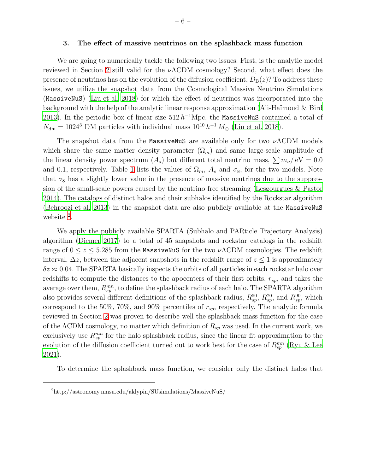#### <span id="page-5-0"></span>3. The effect of massive neutrinos on the splashback mass function

We are going to numerically tackle the following two issues. First, is the analytic model reviewed in Section [2](#page-3-0) still valid for the  $\nu\Lambda$ CDM cosmology? Second, what effect does the presence of neutrinos has on the evolution of the diffusion coefficient,  $D_B(z)$ ? To address these issues, we utilize the snapshot data from the Cosmological Massive Neutrino Simulations (MassiveNuS) [\(Liu et al. 2018\)](#page-11-14) for which the effect of neutrinos was incorporated into the background with the help of the analytic linear response approximation (Ali-Haïmoud  $\&$  Bird [2013\)](#page-10-14). In the periodic box of linear size  $512 h^{-1}$ Mpc, the MassiveNuS contained a total of  $N_{\text{dm}} = 1024^3$  DM particles with individual mass  $10^{10} h^{-1} M_{\odot}$  [\(Liu et al. 2018](#page-11-14)).

The snapshot data from the MassiveNuS are available only for two  $\nu\Lambda$ CDM models which share the same matter density parameter  $(\Omega_m)$  and same large-scale amplitude of the linear density power spectrum  $(A_s)$  but different total neutrino mass,  $\sum m_{\nu}/\text{eV} = 0.0$ and 0.1, respectively. Table 1 lists the values of  $\Omega_m$ ,  $A_s$  and  $\sigma_8$ , for the two models. Note that  $\sigma_8$  has a slightly lower value in the presence of massive neutrinos due to the suppression of the small-scale powers caused by the neutrino free streaming [\(Lesgourgues & Pastor](#page-11-15) [2014\)](#page-11-15). The catalogs of distinct halos and their subhalos identified by the Rockstar algorithm [\(Behroozi et al. 2013\)](#page-10-15) in the snapshot data are also publicly available at the MassiveNuS website <sup>[2](#page-12-3)</sup>.

We apply the publicly available SPARTA (Subhalo and PARticle Trajectory Analysis) algorithm [\(Diemer 2017\)](#page-10-16) to a total of 45 snapshots and rockstar catalogs in the redshift range of  $0 \le z \le 5.285$  from the MassiveNuS for the two  $\nu\Lambda$ CDM cosmologies. The redshift interval,  $\Delta z$ , between the adjacent snapshots in the redshift range of  $z \leq 1$  is approximately  $\delta z \approx 0.04$ . The SPARTA basically inspects the orbits of all particles in each rockstar halo over redshifts to compute the distances to the apocenters of their first orbits,  $r_{sp}$ , and takes the average over them,  $R_{sp}^{mn}$ , to define the splashback radius of each halo. The SPARTA algorithm also provides several different definitions of the splashback radius,  $R_{sp}^{50}$ ,  $R_{sp}^{70}$ , and  $R_{sp}^{90}$ , which correspond to the 50%, 70%, and 90% percentiles of  $r_{sp}$ , respectively. The analytic formula reviewed in Section [2](#page-3-0) was proven to describe well the splashback mass function for the case of the  $\Lambda$ CDM cosmology, no matter which definition of  $R_{sp}$  was used. In the current work, we exclusively use  $R_{sp}^{mn}$  for the halo splashback radius, since the linear fit approximation to the evolution of the diffusion coefficient turned out to work best for the case of  $R_{sp}^{mn}$  [\(Ryu & Lee](#page-11-9) [2021\)](#page-11-9).

To determine the splashback mass function, we consider only the distinct halos that

<sup>2</sup>http://astronomy.nmsu.edu/aklypin/SUsimulations/MassiveNuS/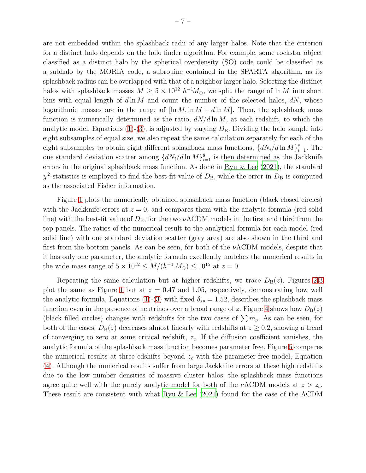are not embedded within the splashback radii of any larger halos. Note that the criterion for a distinct halo depends on the halo finder algorithm. For example, some rockstar object classified as a distinct halo by the spherical overdensity (SO) code could be classified as a subhalo by the MORIA code, a subrouine contained in the SPARTA algorithm, as its splashback radius can be overlapped with that of a neighbor larger halo. Selecting the distinct halos with splashback masses  $M \geq 5 \times 10^{12} h^{-1} M_{\odot}$ , we split the range of ln M into short bins with equal length of  $d \ln M$  and count the number of the selected halos,  $dN$ , whose logarithmic masses are in the range of  $\ln M$ ,  $\ln M + d \ln M$ . Then, the splashback mass function is numerically determined as the ratio,  $dN/d \ln M$ , at each redshift, to which the analytic model, Equations [\(1\)](#page-3-1)-[\(3\)](#page-4-1), is adjusted by varying  $D<sub>B</sub>$ . Dividing the halo sample into eight subsamples of equal size, we also repeat the same calculation separately for each of the eight subsamples to obtain eight different splashback mass functions,  $\{dN_i/d\ln M\}_{i=1}^8$ . The one standard deviation scatter among  $\{dN_i/d\ln M\}_{i=1}^8$  is then determined as the Jackknife errors in the original splashback mass function. As done in [Ryu & Lee](#page-11-9) [\(2021](#page-11-9)), the standard  $\chi^2$ -statistics is employed to find the best-fit value of  $D_{\text{B}}$ , while the error in  $D_{\text{B}}$  is computed as the associated Fisher information.

Figure [1](#page-13-0) plots the numerically obtained splashback mass function (black closed circles) with the Jackknife errors at  $z = 0$ , and compares them with the analytic formula (red solid line) with the best-fit value of  $D_B$ , for the two  $\nu\Lambda$ CDM models in the first and third from the top panels. The ratios of the numerical result to the analytical formula for each model (red solid line) with one standard deviation scatter (gray area) are also shown in the third and first from the bottom panels. As can be seen, for both of the  $\nu\Lambda$ CDM models, despite that it has only one parameter, the analytic formula excellently matches the numerical results in the wide mass range of  $5 \times 10^{12} \le M/(h^{-1} M_{\odot}) \le 10^{15}$  at  $z = 0$ .

Repeating the same calculation but at higher redshifts, we trace  $D_B(z)$ . Figures [2](#page-14-0)[-3](#page-15-0) plot the same as Figure [1](#page-13-0) but at  $z = 0.47$  and 1.05, respectively, demonstrating how well the analytic formula, Equations [\(1\)](#page-3-1)-[\(3\)](#page-4-1) with fixed  $\delta_{sp} = 1.52$ , describes the splashback mass function even in the presence of neutrinos over a broad range of z. Figure [4](#page-16-0) shows how  $D_B(z)$ (black filled circles) changes with redshifts for the two cases of  $\sum m_{\nu}$ . As can be seen, for both of the cases,  $D_B(z)$  decreases almost linearly with redshifts at  $z \geq 0.2$ , showing a trend of converging to zero at some critical redshift,  $z_c$ . If the diffusion coefficient vanishes, the analytic formula of the splashback mass function becomes parameter free. Figure [5](#page-17-0) compares the numerical results at three edshifts beyond  $z_c$  with the parameter-free model, Equation [\(4\)](#page-4-2). Although the numerical results suffer from large Jackknife errors at these high redshifts due to the low number densities of massive cluster halos, the splashback mass functions agree quite well with the purely analytic model for both of the  $\nu\Lambda$ CDM models at  $z > z_c$ . These result are consistent with what [Ryu & Lee \(2021](#page-11-9)) found for the case of the ΛCDM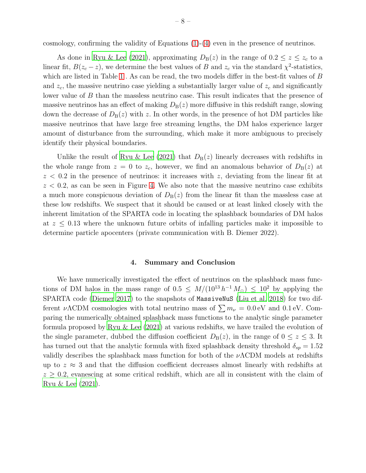cosmology, confirming the validity of Equations [\(1\)](#page-3-1)-[\(4\)](#page-4-2) even in the presence of neutrinos.

As done in [Ryu & Lee \(2021\)](#page-11-9), approximating  $D_{\rm B}(z)$  in the range of  $0.2 \le z \le z_c$  to a linear fit,  $B(z_c - z)$ , we determine the best values of B and  $z_c$  via the standard  $\chi^2$ -statistics, which are listed in Table 1. As can be read, the two models differ in the best-fit values of B and  $z_c$ , the massive neutrino case yielding a substantially larger value of  $z_c$  and significantly lower value of B than the massless neutrino case. This result indicates that the presence of massive neutrinos has an effect of making  $D_B(z)$  more diffusive in this redshift range, slowing down the decrease of  $D_B(z)$  with z. In other words, in the presence of hot DM particles like massive neutrinos that have large free streaming lengths, the DM halos experience larger amount of disturbance from the surrounding, which make it more ambiguous to precisely identify their physical boundaries.

Unlike the result of [Ryu & Lee \(2021\)](#page-11-9) that  $D_B(z)$  linearly decreases with redshifts in the whole range from  $z = 0$  to  $z_c$ , however, we find an anomalous behavior of  $D_B(z)$  at  $z < 0.2$  in the presence of neutrinos: it increases with z, deviating from the linear fit at  $z < 0.2$ , as can be seen in Figure [4.](#page-16-0) We also note that the massive neutrino case exhibits a much more conspicuous deviation of  $D_{\rm B}(z)$  from the linear fit than the massless case at these low redshifts. We suspect that it should be caused or at least linked closely with the inherent limitation of the SPARTA code in locating the splashback boundaries of DM halos at  $z \leq 0.13$  where the unknown future orbits of infalling particles make it impossible to determine particle apocenters (private communication with B. Diemer 2022).

## 4. Summary and Conclusion

<span id="page-7-0"></span>We have numerically investigated the effect of neutrinos on the splashback mass functions of DM halos in the mass range of  $0.5 \leq M/(10^{13} h^{-1} M_{\odot}) \leq 10^{2}$  by applying the SPARTA code [\(Diemer 2017\)](#page-10-16) to the snapshots of MassiveNuS [\(Liu et al. 2018\)](#page-11-14) for two different  $\nu\Lambda$ CDM cosmologies with total neutrino mass of  $\sum m_{\nu} = 0.0 \,\text{eV}$  and 0.1 eV. Comparing the numerically obtained splashback mass functions to the analytic single parameter formula proposed by [Ryu & Lee \(2021\)](#page-11-9) at various redshifts, we have trailed the evolution of the single parameter, dubbed the diffusion coefficient  $D_{\rm B}(z)$ , in the range of  $0 \le z \le 3$ . It has turned out that the analytic formula with fixed splashback density threshold  $\delta_{sp} = 1.52$ validly describes the splashback mass function for both of the  $\nu\Lambda$ CDM models at redshifts up to  $z \approx 3$  and that the diffusion coefficient decreases almost linearly with redshifts at  $z \geq 0.2$ , evanescing at some critical redshift, which are all in consistent with the claim of [Ryu & Lee \(2021\)](#page-11-9).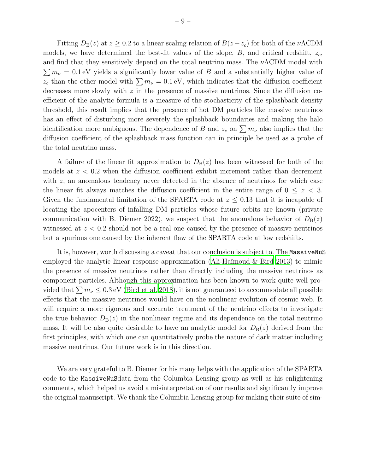Fitting  $D_{\rm B}(z)$  at  $z \geq 0.2$  to a linear scaling relation of  $B(z-z_c)$  for both of the  $\nu\Lambda$ CDM models, we have determined the best-fit values of the slope,  $B$ , and critical redshift,  $z_c$ , and find that they sensitively depend on the total neutrino mass. The  $\nu\Lambda$ CDM model with  $\sum m_{\nu} = 0.1$  eV yields a significantly lower value of B and a substantially higher value of  $z_c$  than the other model with  $\sum m_{\nu} = 0.1 \text{ eV}$ , which indicates that the diffusion coefficient decreases more slowly with  $z$  in the presence of massive neutrinos. Since the diffusion coefficient of the analytic formula is a measure of the stochasticity of the splashback density threshold, this result implies that the presence of hot DM particles like massive neutrinos has an effect of disturbing more severely the splashback boundaries and making the halo identification more ambiguous. The dependence of B and  $z_c$  on  $\sum m_{\nu}$  also implies that the diffusion coefficient of the splashback mass function can in principle be used as a probe of the total neutrino mass.

A failure of the linear fit approximation to  $D_{\rm B}(z)$  has been witnessed for both of the models at  $z < 0.2$  when the diffusion coefficient exhibit increment rather than decrement with  $z$ , an anomalous tendency never detected in the absence of neutrinos for which case the linear fit always matches the diffusion coefficient in the entire range of  $0 \leq z < 3$ . Given the fundamental limitation of the SPARTA code at  $z \leq 0.13$  that it is incapable of locating the apocenters of infalling DM particles whose future orbits are known (private communication with B. Diemer 2022), we suspect that the anomalous behavior of  $D_B(z)$ witnessed at  $z < 0.2$  should not be a real one caused by the presence of massive neutrinos but a spurious one caused by the inherent flaw of the SPARTA code at low redshifts.

It is, however, worth discussing a caveat that our conclusion is subject to. The MassiveNuS employed the analytic linear response approximation (Ali-Haïmoud & Bird 2013) to mimic the presence of massive neutrinos rather than directly including the massive neutrinos as component particles. Although this approximation has been known to work quite well provided that  $\sum m_{\nu} \leq 0.3$  eV [\(Bird et al. 2018](#page-10-17)), it is not guaranteed to accommodate all possible effects that the massive neutrinos would have on the nonlinear evolution of cosmic web. It will require a more rigorous and accurate treatment of the neutrino effects to investigate the true behavior  $D_B(z)$  in the nonlinear regime and its dependence on the total neutrino mass. It will be also quite desirable to have an analytic model for  $D_B(z)$  derived from the first principles, with which one can quantitatively probe the nature of dark matter including massive neutrinos. Our future work is in this direction.

We are very grateful to B. Diemer for his many helps with the application of the SPARTA code to the MassiveNuSdata from the Columbia Lensing group as well as his enlightening comments, which helped us avoid a misinterpretation of our results and significantly improve the original manuscript. We thank the Columbia Lensing group for making their suite of sim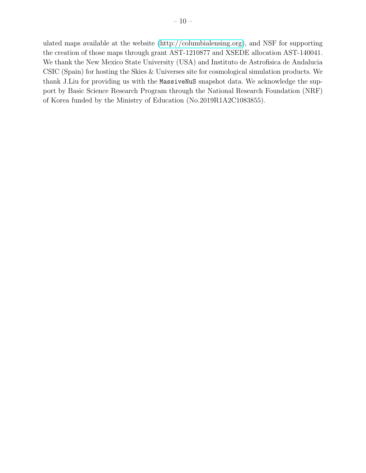ulated maps available at the website [\(http://columbialensing.org\)](http://columbialensing.org), and NSF for supporting the creation of those maps through grant AST-1210877 and XSEDE allocation AST-140041. We thank the New Mexico State University (USA) and Instituto de Astrofisica de Andalucia CSIC (Spain) for hosting the Skies & Universes site for cosmological simulation products. We thank J.Liu for providing us with the MassiveNuS snapshot data. We acknowledge the support by Basic Science Research Program through the National Research Foundation (NRF) of Korea funded by the Ministry of Education (No.2019R1A2C1083855).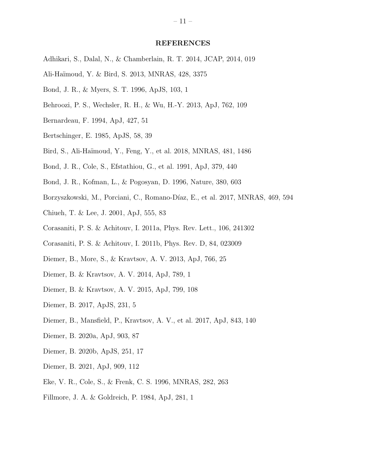#### REFERENCES

- <span id="page-10-7"></span>Adhikari, S., Dalal, N., & Chamberlain, R. T. 2014, JCAP, 2014, 019
- <span id="page-10-14"></span>Ali-Ha¨ımoud, Y. & Bird, S. 2013, MNRAS, 428, 3375
- <span id="page-10-1"></span>Bond, J. R., & Myers, S. T. 1996, ApJS, 103, 1
- <span id="page-10-15"></span>Behroozi, P. S., Wechsler, R. H., & Wu, H.-Y. 2013, ApJ, 762, 109
- <span id="page-10-5"></span>Bernardeau, F. 1994, ApJ, 427, 51
- <span id="page-10-10"></span>Bertschinger, E. 1985, ApJS, 58, 39
- <span id="page-10-17"></span>Bird, S., Ali-Ha¨ımoud, Y., Feng, Y., et al. 2018, MNRAS, 481, 1486
- <span id="page-10-12"></span>Bond, J. R., Cole, S., Efstathiou, G., et al. 1991, ApJ, 379, 440
- Bond, J. R., Kofman, L., & Pogosyan, D. 1996, Nature, 380, 603
- Borzyszkowski, M., Porciani, C., Romano-Díaz, E., et al. 2017, MNRAS, 469, 594
- <span id="page-10-2"></span>Chiueh, T. & Lee, J. 2001, ApJ, 555, 83
- <span id="page-10-3"></span>Corasaniti, P. S. & Achitouv, I. 2011a, Phys. Rev. Lett., 106, 241302
- <span id="page-10-4"></span>Corasaniti, P. S. & Achitouv, I. 2011b, Phys. Rev. D, 84, 023009
- <span id="page-10-11"></span>Diemer, B., More, S., & Kravtsov, A. V. 2013, ApJ, 766, 25
- <span id="page-10-6"></span>Diemer, B. & Kravtsov, A. V. 2014, ApJ, 789, 1
- <span id="page-10-13"></span>Diemer, B. & Kravtsov, A. V. 2015, ApJ, 799, 108
- <span id="page-10-16"></span>Diemer, B. 2017, ApJS, 231, 5
- Diemer, B., Mansfield, P., Kravtsov, A. V., et al. 2017, ApJ, 843, 140
- Diemer, B. 2020a, ApJ, 903, 87
- Diemer, B. 2020b, ApJS, 251, 17
- <span id="page-10-8"></span>Diemer, B. 2021, ApJ, 909, 112
- <span id="page-10-0"></span>Eke, V. R., Cole, S., & Frenk, C. S. 1996, MNRAS, 282, 263
- <span id="page-10-9"></span>Fillmore, J. A. & Goldreich, P. 1984, ApJ, 281, 1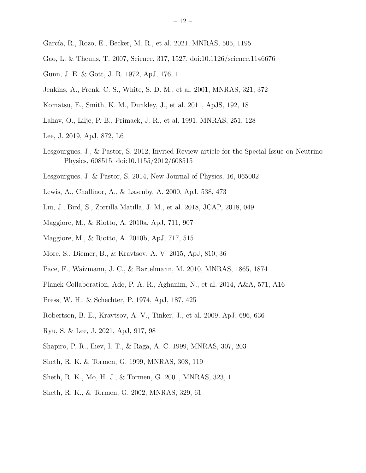- Gao, L. & Theuns, T. 2007, Science, 317, 1527. doi:10.1126/science.1146676
- <span id="page-11-0"></span>Gunn, J. E. & Gott, J. R. 1972, ApJ, 176, 1
- Jenkins, A., Frenk, C. S., White, S. D. M., et al. 2001, MNRAS, 321, 372
- <span id="page-11-13"></span>Komatsu, E., Smith, K. M., Dunkley, J., et al. 2011, ApJS, 192, 18
- <span id="page-11-2"></span>Lahav, O., Lilje, P. B., Primack, J. R., et al. 1991, MNRAS, 251, 128
- Lee, J. 2019, ApJ, 872, L6
- Lesgourgues, J., & Pastor, S. 2012, Invited Review article for the Special Issue on Neutrino Physics, 608515; doi:10.1155/2012/608515
- <span id="page-11-15"></span>Lesgourgues, J. & Pastor, S. 2014, New Journal of Physics, 16, 065002
- Lewis, A., Challinor, A., & Lasenby, A. 2000, ApJ, 538, 473
- <span id="page-11-14"></span>Liu, J., Bird, S., Zorrilla Matilla, J. M., et al. 2018, JCAP, 2018, 049
- <span id="page-11-7"></span>Maggiore, M., & Riotto, A. 2010a, ApJ, 711, 907
- <span id="page-11-8"></span>Maggiore, M., & Riotto, A. 2010b, ApJ, 717, 515
- <span id="page-11-10"></span>More, S., Diemer, B., & Kravtsov, A. V. 2015, ApJ, 810, 36
- <span id="page-11-3"></span>Pace, F., Waizmann, J. C., & Bartelmann, M. 2010, MNRAS, 1865, 1874
- <span id="page-11-12"></span>Planck Collaboration, Ade, P. A. R., Aghanim, N., et al. 2014, A&A, 571, A16
- <span id="page-11-1"></span>Press, W. H., & Schechter, P. 1974, ApJ, 187, 425
- <span id="page-11-6"></span>Robertson, B. E., Kravtsov, A. V., Tinker, J., et al. 2009, ApJ, 696, 636
- <span id="page-11-9"></span>Ryu, S. & Lee, J. 2021, ApJ, 917, 98
- <span id="page-11-11"></span>Shapiro, P. R., Iliev, I. T., & Raga, A. C. 1999, MNRAS, 307, 203
- <span id="page-11-4"></span>Sheth, R. K. & Tormen, G. 1999, MNRAS, 308, 119
- <span id="page-11-5"></span>Sheth, R. K., Mo, H. J., & Tormen, G. 2001, MNRAS, 323, 1
- Sheth, R. K., & Tormen, G. 2002, MNRAS, 329, 61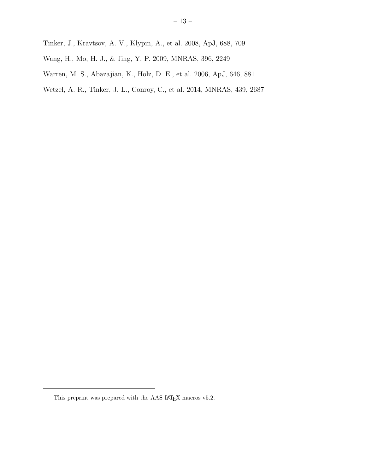- <span id="page-12-0"></span>Tinker, J., Kravtsov, A. V., Klypin, A., et al. 2008, ApJ, 688, 709
- <span id="page-12-1"></span>Wang, H., Mo, H. J., & Jing, Y. P. 2009, MNRAS, 396, 2249
- Warren, M. S., Abazajian, K., Holz, D. E., et al. 2006, ApJ, 646, 881
- <span id="page-12-2"></span>Wetzel, A. R., Tinker, J. L., Conroy, C., et al. 2014, MNRAS, 439, 2687

<span id="page-12-3"></span>This preprint was prepared with the AAS IATEX macros v5.2.  $\,$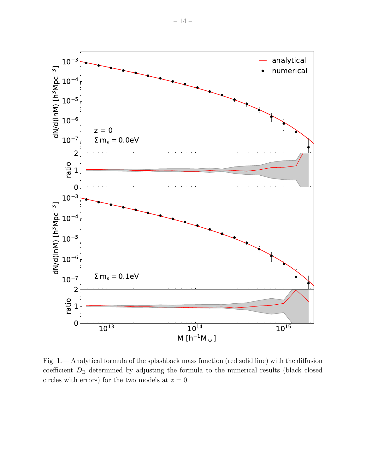

<span id="page-13-0"></span>Fig. 1.— Analytical formula of the splashback mass function (red solid line) with the diffusion coefficient  $D_B$  determined by adjusting the formula to the numerical results (black closed circles with errors) for the two models at  $z = 0$ .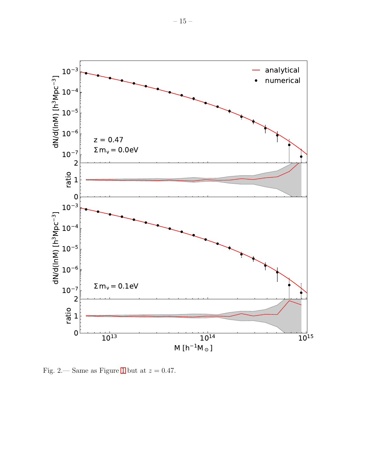

<span id="page-14-0"></span>Fig. 2.— Same as Figure 1 but at  $z = 0.47$ .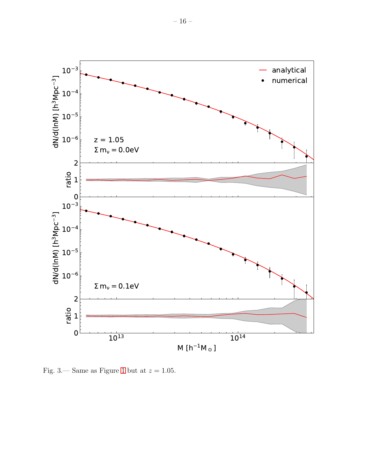

<span id="page-15-0"></span>Fig. 3.— Same as Figure 1 but at  $z = 1.05$ .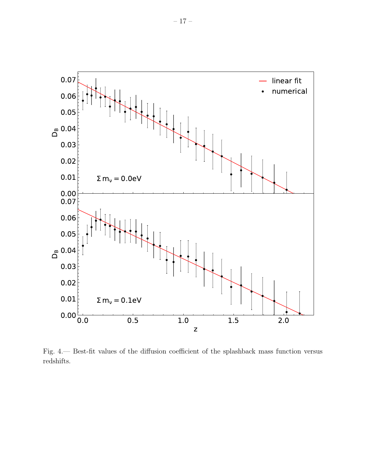

<span id="page-16-0"></span>Fig. 4. Best-fit values of the diffusion coefficient of the splashback mass function versus  $\rm redshifts.$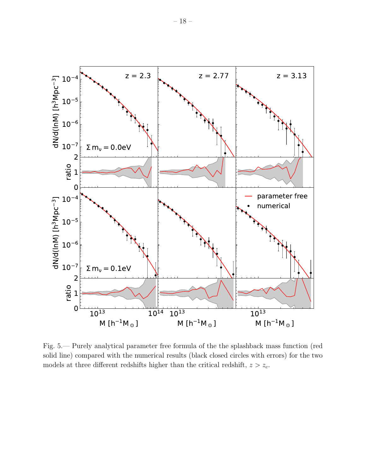

<span id="page-17-0"></span>Fig. 5.— Purely analytical parameter free formula of the the splashback mass function (red solid line) compared with the numerical results (black closed circles with errors) for the two models at three different redshifts higher than the critical redshift,  $z > z_c$ .